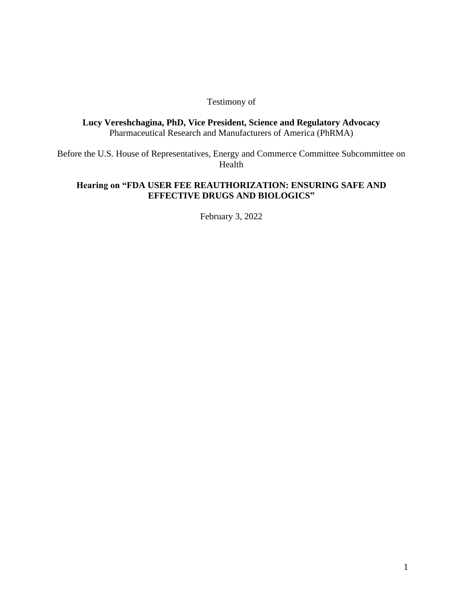#### Testimony of

**Lucy Vereshchagina, PhD, Vice President, Science and Regulatory Advocacy**  Pharmaceutical Research and Manufacturers of America (PhRMA)

Before the U.S. House of Representatives, Energy and Commerce Committee Subcommittee on Health

#### **Hearing on "FDA USER FEE REAUTHORIZATION: ENSURING SAFE AND EFFECTIVE DRUGS AND BIOLOGICS"**

February 3, 2022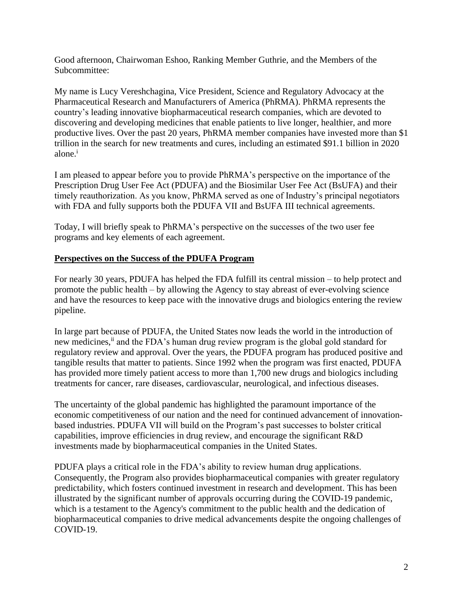Good afternoon, Chairwoman Eshoo, Ranking Member Guthrie, and the Members of the Subcommittee:

My name is Lucy Vereshchagina, Vice President, Science and Regulatory Advocacy at the Pharmaceutical Research and Manufacturers of America (PhRMA). PhRMA represents the country's leading innovative biopharmaceutical research companies, which are devoted to discovering and developing medicines that enable patients to live longer, healthier, and more productive lives. Over the past 20 years, PhRMA member companies have invested more than \$1 trillion in the search for new treatments and cures, including an estimated \$91.1 billion in 2020 alone.<sup>i</sup>

I am pleased to appear before you to provide PhRMA's perspective on the importance of the Prescription Drug User Fee Act (PDUFA) and the Biosimilar User Fee Act (BsUFA) and their timely reauthorization. As you know, PhRMA served as one of Industry's principal negotiators with FDA and fully supports both the PDUFA VII and BsUFA III technical agreements.

Today, I will briefly speak to PhRMA's perspective on the successes of the two user fee programs and key elements of each agreement.

## **Perspectives on the Success of the PDUFA Program**

For nearly 30 years, PDUFA has helped the FDA fulfill its central mission – to help protect and promote the public health – by allowing the Agency to stay abreast of ever-evolving science and have the resources to keep pace with the innovative drugs and biologics entering the review pipeline.

In large part because of PDUFA, the United States now leads the world in the introduction of new medicines,<sup>ii</sup> and the FDA's human drug review program is the global gold standard for regulatory review and approval. Over the years, the PDUFA program has produced positive and tangible results that matter to patients. Since 1992 when the program was first enacted, PDUFA has provided more timely patient access to more than 1,700 new drugs and biologics including treatments for cancer, rare diseases, cardiovascular, neurological, and infectious diseases.

The uncertainty of the global pandemic has highlighted the paramount importance of the economic competitiveness of our nation and the need for continued advancement of innovationbased industries. PDUFA VII will build on the Program's past successes to bolster critical capabilities, improve efficiencies in drug review, and encourage the significant R&D investments made by biopharmaceutical companies in the United States.

PDUFA plays a critical role in the FDA's ability to review human drug applications. Consequently, the Program also provides biopharmaceutical companies with greater regulatory predictability, which fosters continued investment in research and development. This has been illustrated by the significant number of approvals occurring during the COVID-19 pandemic, which is a testament to the Agency's commitment to the public health and the dedication of biopharmaceutical companies to drive medical advancements despite the ongoing challenges of COVID-19.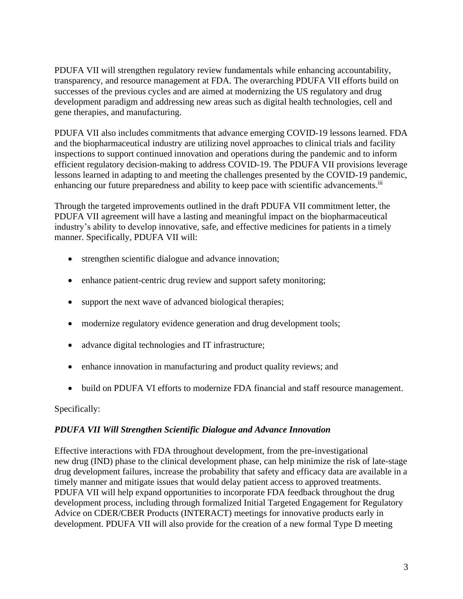PDUFA VII will strengthen regulatory review fundamentals while enhancing accountability, transparency, and resource management at FDA. The overarching PDUFA VII efforts build on successes of the previous cycles and are aimed at modernizing the US regulatory and drug development paradigm and addressing new areas such as digital health technologies, cell and gene therapies, and manufacturing.

PDUFA VII also includes commitments that advance emerging COVID-19 lessons learned. FDA and the biopharmaceutical industry are utilizing novel approaches to clinical trials and facility inspections to support continued innovation and operations during the pandemic and to inform efficient regulatory decision-making to address COVID-19. The PDUFA VII provisions leverage lessons learned in adapting to and meeting the challenges presented by the COVID-19 pandemic, enhancing our future preparedness and ability to keep pace with scientific advancements.<sup>iii</sup>

Through the targeted improvements outlined in the draft PDUFA VII commitment letter, the PDUFA VII agreement will have a lasting and meaningful impact on the biopharmaceutical industry's ability to develop innovative, safe, and effective medicines for patients in a timely manner. Specifically, PDUFA VII will:

- strengthen scientific dialogue and advance innovation;
- enhance patient-centric drug review and support safety monitoring;
- support the next wave of advanced biological therapies;
- modernize regulatory evidence generation and drug development tools;
- advance digital technologies and IT infrastructure;
- enhance innovation in manufacturing and product quality reviews; and
- build on PDUFA VI efforts to modernize FDA financial and staff resource management.

Specifically:

### *PDUFA VII Will Strengthen Scientific Dialogue and Advance Innovation*

Effective interactions with FDA throughout development, from the pre-investigational new drug (IND) phase to the clinical development phase, can help minimize the risk of late-stage drug development failures, increase the probability that safety and efficacy data are available in a timely manner and mitigate issues that would delay patient access to approved treatments. PDUFA VII will help expand opportunities to incorporate FDA feedback throughout the drug development process, including through formalized Initial Targeted Engagement for Regulatory Advice on CDER/CBER Products (INTERACT) meetings for innovative products early in development. PDUFA VII will also provide for the creation of a new formal Type D meeting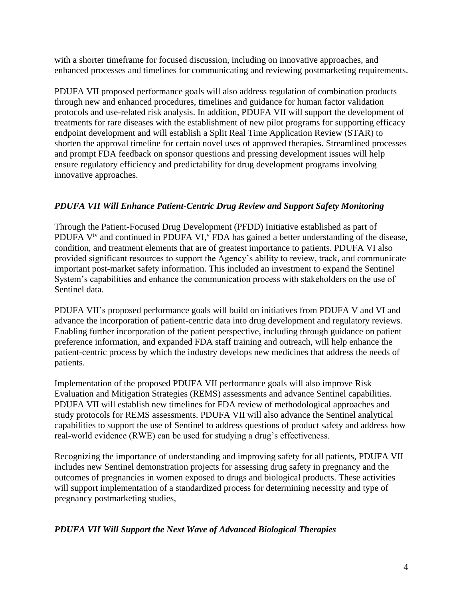with a shorter timeframe for focused discussion, including on innovative approaches, and enhanced processes and timelines for communicating and reviewing postmarketing requirements.

PDUFA VII proposed performance goals will also address regulation of combination products through new and enhanced procedures, timelines and guidance for human factor validation protocols and use-related risk analysis. In addition, PDUFA VII will support the development of treatments for rare diseases with the establishment of new pilot programs for supporting efficacy endpoint development and will establish a Split Real Time Application Review (STAR) to shorten the approval timeline for certain novel uses of approved therapies. Streamlined processes and prompt FDA feedback on sponsor questions and pressing development issues will help ensure regulatory efficiency and predictability for drug development programs involving innovative approaches.

## *PDUFA VII Will Enhance Patient-Centric Drug Review and Support Safety Monitoring*

Through the Patient-Focused Drug Development (PFDD) Initiative established as part of PDUFA  $V^{\text{iv}}$  and continued in PDUFA VI, $^{\text{v}}$  FDA has gained a better understanding of the disease, condition, and treatment elements that are of greatest importance to patients. PDUFA VI also provided significant resources to support the Agency's ability to review, track, and communicate important post-market safety information. This included an investment to expand the Sentinel System's capabilities and enhance the communication process with stakeholders on the use of Sentinel data.

PDUFA VII's proposed performance goals will build on initiatives from PDUFA V and VI and advance the incorporation of patient-centric data into drug development and regulatory reviews. Enabling further incorporation of the patient perspective, including through guidance on patient preference information, and expanded FDA staff training and outreach, will help enhance the patient-centric process by which the industry develops new medicines that address the needs of patients.

Implementation of the proposed PDUFA VII performance goals will also improve Risk Evaluation and Mitigation Strategies (REMS) assessments and advance Sentinel capabilities. PDUFA VII will establish new timelines for FDA review of methodological approaches and study protocols for REMS assessments. PDUFA VII will also advance the Sentinel analytical capabilities to support the use of Sentinel to address questions of product safety and address how real-world evidence (RWE) can be used for studying a drug's effectiveness.

Recognizing the importance of understanding and improving safety for all patients, PDUFA VII includes new Sentinel demonstration projects for assessing drug safety in pregnancy and the outcomes of pregnancies in women exposed to drugs and biological products. These activities will support implementation of a standardized process for determining necessity and type of pregnancy postmarketing studies,

*PDUFA VII Will Support the Next Wave of Advanced Biological Therapies*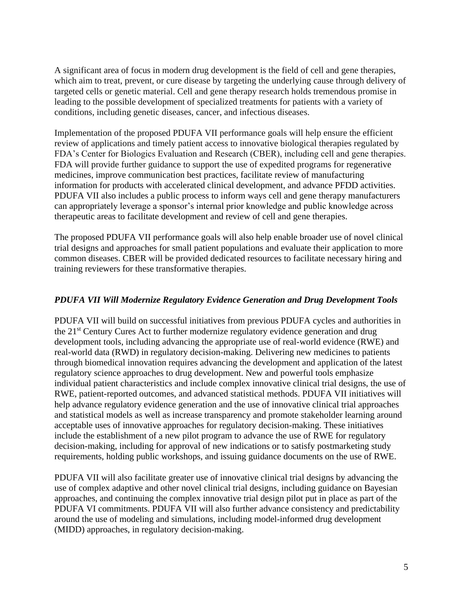A significant area of focus in modern drug development is the field of cell and gene therapies, which aim to treat, prevent, or cure disease by targeting the underlying cause through delivery of targeted cells or genetic material. Cell and gene therapy research holds tremendous promise in leading to the possible development of specialized treatments for patients with a variety of conditions, including genetic diseases, cancer, and infectious diseases.

Implementation of the proposed PDUFA VII performance goals will help ensure the efficient review of applications and timely patient access to innovative biological therapies regulated by FDA's Center for Biologics Evaluation and Research (CBER), including cell and gene therapies. FDA will provide further guidance to support the use of expedited programs for regenerative medicines, improve communication best practices, facilitate review of manufacturing information for products with accelerated clinical development, and advance PFDD activities. PDUFA VII also includes a public process to inform ways cell and gene therapy manufacturers can appropriately leverage a sponsor's internal prior knowledge and public knowledge across therapeutic areas to facilitate development and review of cell and gene therapies.

The proposed PDUFA VII performance goals will also help enable broader use of novel clinical trial designs and approaches for small patient populations and evaluate their application to more common diseases. CBER will be provided dedicated resources to facilitate necessary hiring and training reviewers for these transformative therapies.

### *PDUFA VII Will Modernize Regulatory Evidence Generation and Drug Development Tools*

PDUFA VII will build on successful initiatives from previous PDUFA cycles and authorities in the 21<sup>st</sup> Century Cures Act to further modernize regulatory evidence generation and drug development tools, including advancing the appropriate use of real-world evidence (RWE) and real-world data (RWD) in regulatory decision-making. Delivering new medicines to patients through biomedical innovation requires advancing the development and application of the latest regulatory science approaches to drug development. New and powerful tools emphasize individual patient characteristics and include complex innovative clinical trial designs, the use of RWE, patient-reported outcomes, and advanced statistical methods. PDUFA VII initiatives will help advance regulatory evidence generation and the use of innovative clinical trial approaches and statistical models as well as increase transparency and promote stakeholder learning around acceptable uses of innovative approaches for regulatory decision-making. These initiatives include the establishment of a new pilot program to advance the use of RWE for regulatory decision-making, including for approval of new indications or to satisfy postmarketing study requirements, holding public workshops, and issuing guidance documents on the use of RWE.

PDUFA VII will also facilitate greater use of innovative clinical trial designs by advancing the use of complex adaptive and other novel clinical trial designs, including guidance on Bayesian approaches, and continuing the complex innovative trial design pilot put in place as part of the PDUFA VI commitments. PDUFA VII will also further advance consistency and predictability around the use of modeling and simulations, including model-informed drug development (MIDD) approaches, in regulatory decision-making.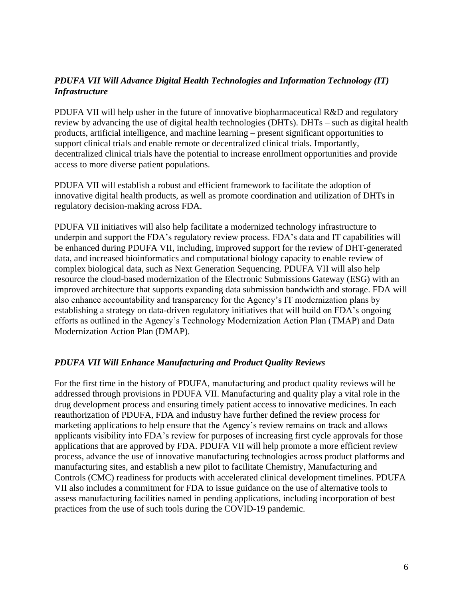## *PDUFA VII Will Advance Digital Health Technologies and Information Technology (IT) Infrastructure*

PDUFA VII will help usher in the future of innovative biopharmaceutical R&D and regulatory review by advancing the use of digital health technologies (DHTs). DHTs – such as digital health products, artificial intelligence, and machine learning – present significant opportunities to support clinical trials and enable remote or decentralized clinical trials. Importantly, decentralized clinical trials have the potential to increase enrollment opportunities and provide access to more diverse patient populations.

PDUFA VII will establish a robust and efficient framework to facilitate the adoption of innovative digital health products, as well as promote coordination and utilization of DHTs in regulatory decision-making across FDA.

PDUFA VII initiatives will also help facilitate a modernized technology infrastructure to underpin and support the FDA's regulatory review process. FDA's data and IT capabilities will be enhanced during PDUFA VII, including, improved support for the review of DHT-generated data, and increased bioinformatics and computational biology capacity to enable review of complex biological data, such as Next Generation Sequencing. PDUFA VII will also help resource the cloud-based modernization of the Electronic Submissions Gateway (ESG) with an improved architecture that supports expanding data submission bandwidth and storage. FDA will also enhance accountability and transparency for the Agency's IT modernization plans by establishing a strategy on data-driven regulatory initiatives that will build on FDA's ongoing efforts as outlined in the Agency's Technology Modernization Action Plan (TMAP) and Data Modernization Action Plan (DMAP).

### *PDUFA VII Will Enhance Manufacturing and Product Quality Reviews*

For the first time in the history of PDUFA, manufacturing and product quality reviews will be addressed through provisions in PDUFA VII. Manufacturing and quality play a vital role in the drug development process and ensuring timely patient access to innovative medicines. In each reauthorization of PDUFA, FDA and industry have further defined the review process for marketing applications to help ensure that the Agency's review remains on track and allows applicants visibility into FDA's review for purposes of increasing first cycle approvals for those applications that are approved by FDA. PDUFA VII will help promote a more efficient review process, advance the use of innovative manufacturing technologies across product platforms and manufacturing sites, and establish a new pilot to facilitate Chemistry, Manufacturing and Controls (CMC) readiness for products with accelerated clinical development timelines. PDUFA VII also includes a commitment for FDA to issue guidance on the use of alternative tools to assess manufacturing facilities named in pending applications, including incorporation of best practices from the use of such tools during the COVID-19 pandemic.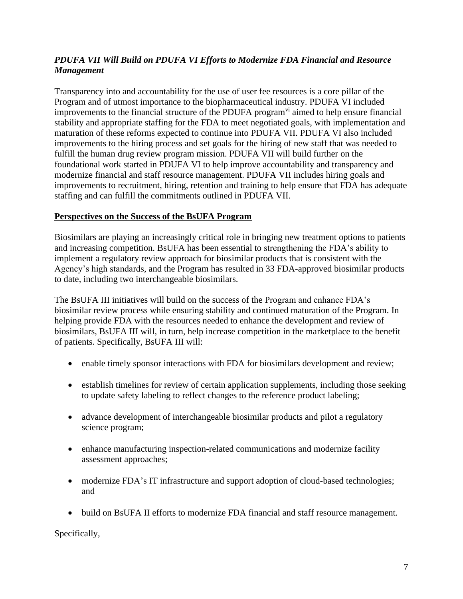# *PDUFA VII Will Build on PDUFA VI Efforts to Modernize FDA Financial and Resource Management*

Transparency into and accountability for the use of user fee resources is a core pillar of the Program and of utmost importance to the biopharmaceutical industry. PDUFA VI included improvements to the financial structure of the PDUFA program<sup>vi</sup> aimed to help ensure financial stability and appropriate staffing for the FDA to meet negotiated goals, with implementation and maturation of these reforms expected to continue into PDUFA VII. PDUFA VI also included improvements to the hiring process and set goals for the hiring of new staff that was needed to fulfill the human drug review program mission. PDUFA VII will build further on the foundational work started in PDUFA VI to help improve accountability and transparency and modernize financial and staff resource management. PDUFA VII includes hiring goals and improvements to recruitment, hiring, retention and training to help ensure that FDA has adequate staffing and can fulfill the commitments outlined in PDUFA VII.

### **Perspectives on the Success of the BsUFA Program**

Biosimilars are playing an increasingly critical role in bringing new treatment options to patients and increasing competition. BsUFA has been essential to strengthening the FDA's ability to implement a regulatory review approach for biosimilar products that is consistent with the Agency's high standards, and the Program has resulted in 33 FDA-approved biosimilar products to date, including two interchangeable biosimilars.

The BsUFA III initiatives will build on the success of the Program and enhance FDA's biosimilar review process while ensuring stability and continued maturation of the Program. In helping provide FDA with the resources needed to enhance the development and review of biosimilars, BsUFA III will, in turn, help increase competition in the marketplace to the benefit of patients. Specifically, BsUFA III will:

- enable timely sponsor interactions with FDA for biosimilars development and review;
- establish timelines for review of certain application supplements, including those seeking to update safety labeling to reflect changes to the reference product labeling;
- advance development of interchangeable biosimilar products and pilot a regulatory science program;
- enhance manufacturing inspection-related communications and modernize facility assessment approaches;
- modernize FDA's IT infrastructure and support adoption of cloud-based technologies; and
- build on BsUFA II efforts to modernize FDA financial and staff resource management.

Specifically,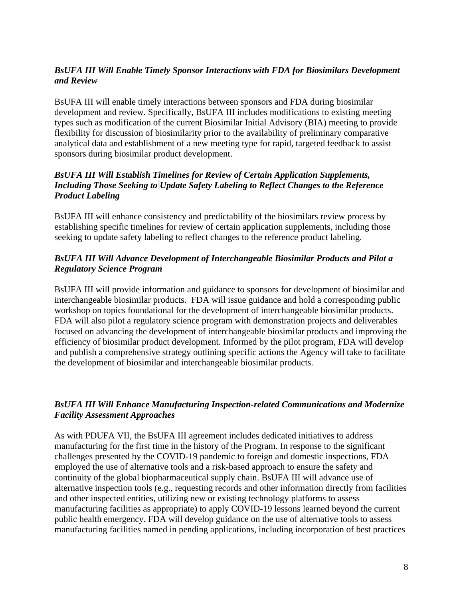## *BsUFA III Will Enable Timely Sponsor Interactions with FDA for Biosimilars Development and Review*

BsUFA III will enable timely interactions between sponsors and FDA during biosimilar development and review. Specifically, BsUFA III includes modifications to existing meeting types such as modification of the current Biosimilar Initial Advisory (BIA) meeting to provide flexibility for discussion of biosimilarity prior to the availability of preliminary comparative analytical data and establishment of a new meeting type for rapid, targeted feedback to assist sponsors during biosimilar product development.

### *BsUFA III Will Establish Timelines for Review of Certain Application Supplements, Including Those Seeking to Update Safety Labeling to Reflect Changes to the Reference Product Labeling*

BsUFA III will enhance consistency and predictability of the biosimilars review process by establishing specific timelines for review of certain application supplements, including those seeking to update safety labeling to reflect changes to the reference product labeling.

## *BsUFA III Will Advance Development of Interchangeable Biosimilar Products and Pilot a Regulatory Science Program*

BsUFA III will provide information and guidance to sponsors for development of biosimilar and interchangeable biosimilar products. FDA will issue guidance and hold a corresponding public workshop on topics foundational for the development of interchangeable biosimilar products. FDA will also pilot a regulatory science program with demonstration projects and deliverables focused on advancing the development of interchangeable biosimilar products and improving the efficiency of biosimilar product development. Informed by the pilot program, FDA will develop and publish a comprehensive strategy outlining specific actions the Agency will take to facilitate the development of biosimilar and interchangeable biosimilar products.

# *BsUFA III Will Enhance Manufacturing Inspection-related Communications and Modernize Facility Assessment Approaches*

As with PDUFA VII, the BsUFA III agreement includes dedicated initiatives to address manufacturing for the first time in the history of the Program. In response to the significant challenges presented by the COVID-19 pandemic to foreign and domestic inspections, FDA employed the use of alternative tools and a risk-based approach to ensure the safety and continuity of the global biopharmaceutical supply chain. BsUFA III will advance use of alternative inspection tools (e.g., requesting records and other information directly from facilities and other inspected entities, utilizing new or existing technology platforms to assess manufacturing facilities as appropriate) to apply COVID-19 lessons learned beyond the current public health emergency. FDA will develop guidance on the use of alternative tools to assess manufacturing facilities named in pending applications, including incorporation of best practices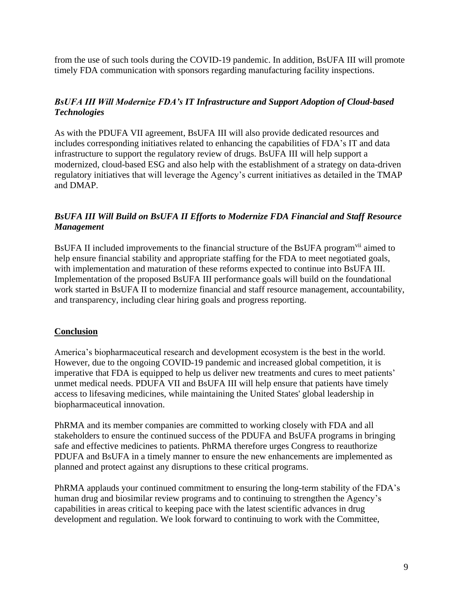from the use of such tools during the COVID-19 pandemic. In addition, BsUFA III will promote timely FDA communication with sponsors regarding manufacturing facility inspections.

## *BsUFA III Will Modernize FDA's IT Infrastructure and Support Adoption of Cloud-based Technologies*

As with the PDUFA VII agreement, BsUFA III will also provide dedicated resources and includes corresponding initiatives related to enhancing the capabilities of FDA's IT and data infrastructure to support the regulatory review of drugs. BsUFA III will help support a modernized, cloud-based ESG and also help with the establishment of a strategy on data-driven regulatory initiatives that will leverage the Agency's current initiatives as detailed in the TMAP and DMAP.

## *BsUFA III Will Build on BsUFA II Efforts to Modernize FDA Financial and Staff Resource Management*

BsUFA II included improvements to the financial structure of the BsUFA program<sup>vii</sup> aimed to help ensure financial stability and appropriate staffing for the FDA to meet negotiated goals, with implementation and maturation of these reforms expected to continue into BsUFA III. Implementation of the proposed BsUFA III performance goals will build on the foundational work started in BsUFA II to modernize financial and staff resource management, accountability, and transparency, including clear hiring goals and progress reporting.

### **Conclusion**

America's biopharmaceutical research and development ecosystem is the best in the world. However, due to the ongoing COVID-19 pandemic and increased global competition, it is imperative that FDA is equipped to help us deliver new treatments and cures to meet patients' unmet medical needs. PDUFA VII and BsUFA III will help ensure that patients have timely access to lifesaving medicines, while maintaining the United States' global leadership in biopharmaceutical innovation.

PhRMA and its member companies are committed to working closely with FDA and all stakeholders to ensure the continued success of the PDUFA and BsUFA programs in bringing safe and effective medicines to patients. PhRMA therefore urges Congress to reauthorize PDUFA and BsUFA in a timely manner to ensure the new enhancements are implemented as planned and protect against any disruptions to these critical programs.

PhRMA applauds your continued commitment to ensuring the long-term stability of the FDA's human drug and biosimilar review programs and to continuing to strengthen the Agency's capabilities in areas critical to keeping pace with the latest scientific advances in drug development and regulation. We look forward to continuing to work with the Committee,